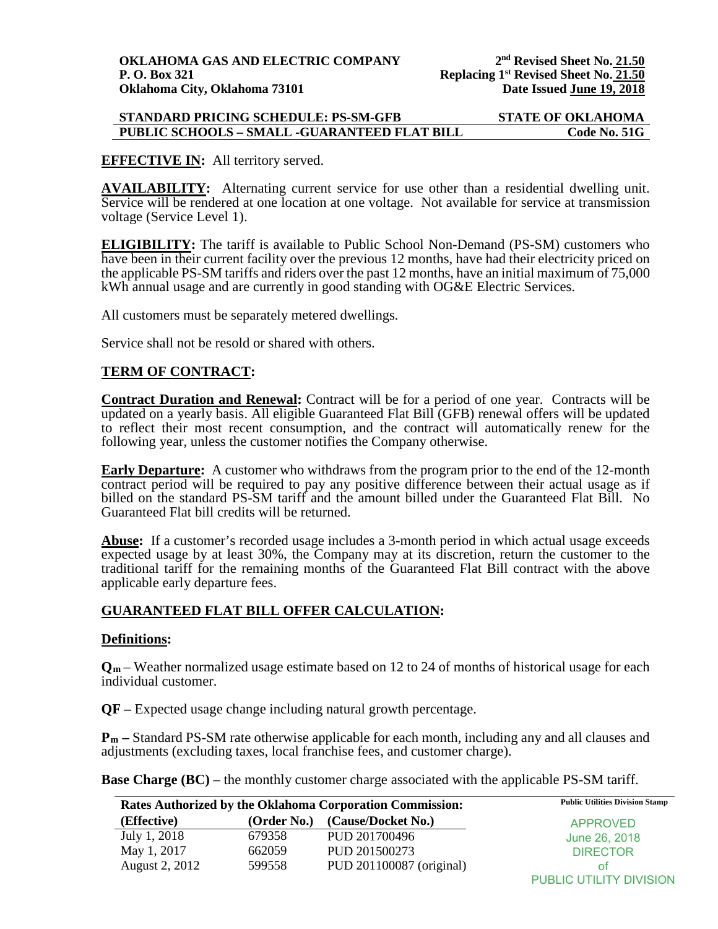## **STANDARD PRICING SCHEDULE: PS-SM-GFB STATE OF OKLAHOMA PUBLIC SCHOOLS - SMALL -GUARANTEED FLAT BILL**

## **EFFECTIVE IN:** All territory served.

**AVAILABILITY:** Alternating current service for use other than a residential dwelling unit. Service will be rendered at one location at one voltage. Not available for service at transmission voltage (Service Level 1).

**ELIGIBILITY:** The tariff is available to Public School Non-Demand (PS-SM) customers who have been in their current facility over the previous 12 months, have had their electricity priced on the applicable PS-SM tariffs and riders over the past 12 months, have an initial maximum of 75,000 kWh annual usage and are currently in good standing with OG&E Electric Services.

All customers must be separately metered dwellings.

Service shall not be resold or shared with others.

## **TERM OF CONTRACT:**

**Contract Duration and Renewal:** Contract will be for a period of one year. Contracts will be updated on a yearly basis. All eligible Guaranteed Flat Bill (GFB) renewal offers will be updated to reflect their most recent consumption, and the contract will automatically renew for the following year, unless the customer notifies the Company otherwise.

**Early Departure:** A customer who withdraws from the program prior to the end of the 12-month contract period will be required to pay any positive difference between their actual usage as if billed on the standard PS-SM tariff and the amount billed under the Guaranteed Flat Bill. No Guaranteed Flat bill credits will be returned.

**Abuse:** If a customer's recorded usage includes a 3-month period in which actual usage exceeds expected usage by at least 30%, the Company may at its discretion, return the customer to the traditional tariff for the remaining months of the Guaranteed Flat Bill contract with the above applicable early departure fees.

## **GUARANTEED FLAT BILL OFFER CALCULATION:**

#### **Definitions:**

**Qm** – Weather normalized usage estimate based on 12 to 24 of months of historical usage for each individual customer.

**QF –** Expected usage change including natural growth percentage.

**Pm –** Standard PS-SM rate otherwise applicable for each month, including any and all clauses and adjustments (excluding taxes, local franchise fees, and customer charge).

**Base Charge (BC)** – the monthly customer charge associated with the applicable PS-SM tariff.

| Rates Authorized by the Oklahoma Corporation Commission: |             | <b>Public Utilities Division Stamp</b> |                                |
|----------------------------------------------------------|-------------|----------------------------------------|--------------------------------|
| (Effective)                                              | (Order No.) | (Cause/Docket No.)                     | <b>APPROVED</b>                |
| July 1, 2018                                             | 679358      | PUD 201700496                          | June 26, 2018                  |
| May 1, 2017                                              | 662059      | PUD 201500273                          | <b>DIRECTOR</b>                |
| August 2, 2012                                           | 599558      | PUD 201100087 (original)               | ΩŤ                             |
|                                                          |             |                                        | <b>PUBLIC UTILITY DIVISION</b> |